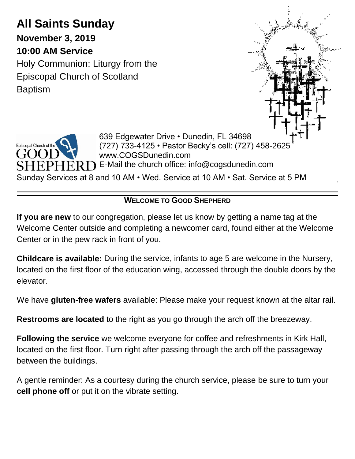**All Saints Sunday November 3, 2019 10:00 AM Service**  Holy Communion: Liturgy from the Episcopal Church of Scotland Baptism

Episcopal Church of the

639 Edgewater Drive • Dunedin, FL 34698 (727) 733-4125 • Pastor Becky's cell: (727) 458-2625 ◯ E-Mail the church office: info@cogsdunedin.com

Sunday Services at 8 and 10 AM • Wed. Service at 10 AM • Sat. Service at 5 PM

www.COGSDunedin.com

# **WELCOME TO GOOD SHEPHERD**

**If you are new** to our congregation, please let us know by getting a name tag at the Welcome Center outside and completing a newcomer card, found either at the Welcome Center or in the pew rack in front of you.

**Childcare is available:** During the service, infants to age 5 are welcome in the Nursery, located on the first floor of the education wing, accessed through the double doors by the elevator.

We have **gluten-free wafers** available: Please make your request known at the altar rail.

**Restrooms are located** to the right as you go through the arch off the breezeway.

**Following the service** we welcome everyone for coffee and refreshments in Kirk Hall, located on the first floor. Turn right after passing through the arch off the passageway between the buildings.

A gentle reminder: As a courtesy during the church service, please be sure to turn your **cell phone off** or put it on the vibrate setting.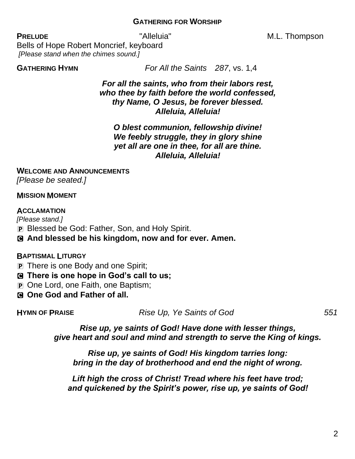#### **GATHERING FOR WORSHIP**

**PRELUDE M.L. Thompson M.L. Thompson** Bells of Hope Robert Moncrief, keyboard *[Please stand when the chimes sound.]*

**GATHERING HYMN** *For All the Saints 287*, vs. 1,4

*For all the saints, who from their labors rest, who thee by faith before the world confessed, thy Name, O Jesus, be forever blessed. Alleluia, Alleluia!*

*O blest communion, fellowship divine! We feebly struggle, they in glory shine yet all are one in thee, for all are thine. Alleluia, Alleluia!*

**WELCOME AND ANNOUNCEMENTS** *[Please be seated.]*

### **MISSION MOMENT**

# **ACCLAMATION**

*[Please stand.]* P Blessed be God: Father, Son, and Holy Spirit.

# C **And blessed be his kingdom, now and for ever. Amen.**

#### **BAPTISMAL LITURGY**

- **P** There is one Body and one Spirit;
- C **There is one hope in God's call to us;**
- P One Lord, one Faith, one Baptism;
- C **One God and Father of all.**

**HYMN OF PRAISE** *Rise Up, Ye Saints of God 551*

*Rise up, ye saints of God! Have done with lesser things, give heart and soul and mind and strength to serve the King of kings.*

*Rise up, ye saints of God! His kingdom tarries long: bring in the day of brotherhood and end the night of wrong.*

*Lift high the cross of Christ! Tread where his feet have trod; and quickened by the Spirit's power, rise up, ye saints of God!*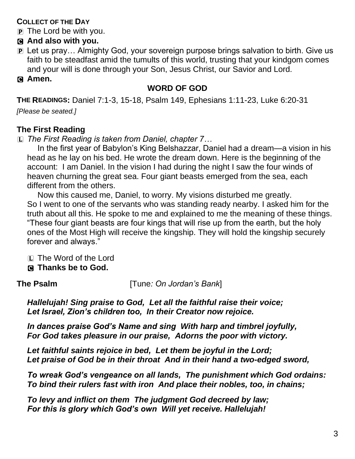### **COLLECT OF THE DAY**

P The Lord be with you.

#### C **And also with you.**

- P Let us pray… Almighty God, your sovereign purpose brings salvation to birth. Give us faith to be steadfast amid the tumults of this world, trusting that your kindgom comes and your will is done through your Son, Jesus Christ, our Savior and Lord.
- C **Amen.**

# **WORD OF GOD**

**THE READINGS:** Daniel 7:1-3, 15-18, Psalm 149, Ephesians 1:11-23, Luke 6:20-31

*[Please be seated.]*

# **The First Reading**

L *The First Reading is taken from Daniel, chapter 7…*

In the first year of Babylon's King Belshazzar, Daniel had a dream—a vision in his head as he lay on his bed. He wrote the dream down. Here is the beginning of the account: I am Daniel. In the vision I had during the night I saw the four winds of heaven churning the great sea. Four giant beasts emerged from the sea, each different from the others.

Now this caused me, Daniel, to worry. My visions disturbed me greatly. So I went to one of the servants who was standing ready nearby. I asked him for the truth about all this. He spoke to me and explained to me the meaning of these things. "These four giant beasts are four kings that will rise up from the earth, but the holy ones of the Most High will receive the kingship. They will hold the kingship securely forever and always."

L The Word of the Lord C **Thanks be to God.**

**The Psalm** [Tune*: On Jordan's Bank*]

*Hallelujah! Sing praise to God, Let all the faithful raise their voice; Let Israel, Zion's children too, In their Creator now rejoice.*

*In dances praise God's Name and sing With harp and timbrel joyfully, For God takes pleasure in our praise, Adorns the poor with victory.*

*Let faithful saints rejoice in bed, Let them be joyful in the Lord; Let praise of God be in their throat And in their hand a two-edged sword,*

*To wreak God's vengeance on all lands, The punishment which God ordains: To bind their rulers fast with iron And place their nobles, too, in chains;*

*To levy and inflict on them The judgment God decreed by law; For this is glory which God's own Will yet receive. Hallelujah!*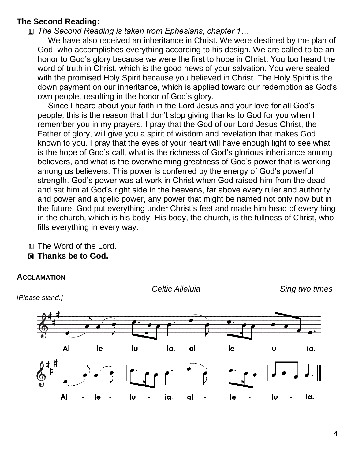### **The Second Reading:**

L *The Second Reading is taken from Ephesians, chapter 1…*

We have also received an inheritance in Christ. We were destined by the plan of God, who accomplishes everything according to his design. We are called to be an honor to God's glory because we were the first to hope in Christ. You too heard the word of truth in Christ, which is the good news of your salvation. You were sealed with the promised Holy Spirit because you believed in Christ. The Holy Spirit is the down payment on our inheritance, which is applied toward our redemption as God's own people, resulting in the honor of God's glory.

Since I heard about your faith in the Lord Jesus and your love for all God's people, this is the reason that I don't stop giving thanks to God for you when I remember you in my prayers. I pray that the God of our Lord Jesus Christ, the Father of glory, will give you a spirit of wisdom and revelation that makes God known to you. I pray that the eyes of your heart will have enough light to see what is the hope of God's call, what is the richness of God's glorious inheritance among believers, and what is the overwhelming greatness of God's power that is working among us believers. This power is conferred by the energy of God's powerful strength. God's power was at work in Christ when God raised him from the dead and sat him at God's right side in the heavens, far above every ruler and authority and power and angelic power, any power that might be named not only now but in the future. God put everything under Christ's feet and made him head of everything in the church, which is his body. His body, the church, is the fullness of Christ, who fills everything in every way.

L The Word of the Lord. C **Thanks be to God.**

#### **ACCLAMATION**



*[Please stand.]*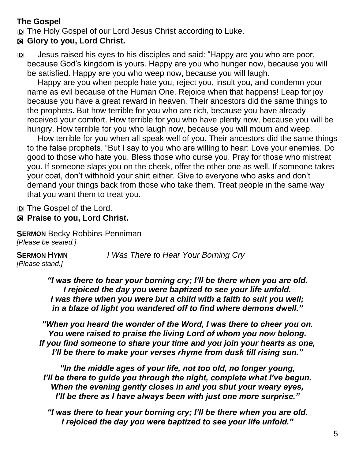# **The Gospel**

D The Holy Gospel of our Lord Jesus Christ according to Luke.

# C **Glory to you, Lord Christ.**

D Jesus raised his eyes to his disciples and said: "Happy are you who are poor, because God's kingdom is yours. Happy are you who hunger now, because you will be satisfied. Happy are you who weep now, because you will laugh.

Happy are you when people hate you, reject you, insult you, and condemn your name as evil because of the Human One. Rejoice when that happens! Leap for joy because you have a great reward in heaven. Their ancestors did the same things to the prophets. But how terrible for you who are rich, because you have already received your comfort. How terrible for you who have plenty now, because you will be hungry. How terrible for you who laugh now, because you will mourn and weep.

How terrible for you when all speak well of you. Their ancestors did the same things to the false prophets. "But I say to you who are willing to hear: Love your enemies. Do good to those who hate you. Bless those who curse you. Pray for those who mistreat you. If someone slaps you on the cheek, offer the other one as well. If someone takes your coat, don't withhold your shirt either. Give to everyone who asks and don't demand your things back from those who take them. Treat people in the same way that you want them to treat you.

D The Gospel of the Lord.

# C **Praise to you, Lord Christ.**

**SERMON** Becky Robbins-Penniman *[Please be seated.]*

**SERMON HYMN** *I Was There to Hear Your Borning Cry [Please stand.]*

> *"I was there to hear your borning cry; I'll be there when you are old. I rejoiced the day you were baptized to see your life unfold. I was there when you were but a child with a faith to suit you well; in a blaze of light you wandered off to find where demons dwell."*

*"When you heard the wonder of the Word, I was there to cheer you on. You were raised to praise the living Lord of whom you now belong. If you find someone to share your time and you join your hearts as one, I'll be there to make your verses rhyme from dusk till rising sun."*

*"In the middle ages of your life, not too old, no longer young, I'll be there to guide you through the night, complete what I've begun. When the evening gently closes in and you shut your weary eyes, I'll be there as I have always been with just one more surprise."*

*"I was there to hear your borning cry; I'll be there when you are old. I rejoiced the day you were baptized to see your life unfold."*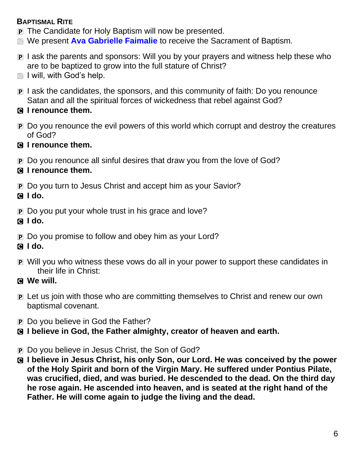## **BAPTISMAL RITE**

- P The Candidate for Holy Baptism will now be presented.
- R We present **Ava Gabrielle Faimalie** to receive the Sacrament of Baptism.
- P I ask the parents and sponsors: Will you by your prayers and witness help these who are to be baptized to grow into the full stature of Christ?
- $\mathbb B$  I will, with God's help.
- P I ask the candidates, the sponsors, and this community of faith: Do you renounce Satan and all the spiritual forces of wickedness that rebel against God?

# C **I renounce them.**

- P Do you renounce the evil powers of this world which corrupt and destroy the creatures of God?
- C **I renounce them.**
- P Do you renounce all sinful desires that draw you from the love of God?

# C **I renounce them.**

P Do you turn to Jesus Christ and accept him as your Savior?

C **I do.**

- P Do you put your whole trust in his grace and love?
- C **I do.**
- P Do you promise to follow and obey him as your Lord?
- C **I do.**
- P Will you who witness these vows do all in your power to support these candidates in their life in Christ:
- C **We will.**
- P Let us join with those who are committing themselves to Christ and renew our own baptismal covenant.
- $\mathbf{P}$  Do you believe in God the Father?
- C **I believe in God, the Father almighty, creator of heaven and earth.**
- **P** Do you believe in Jesus Christ, the Son of God?
- C **I believe in Jesus Christ, his only Son, our Lord. He was conceived by the power of the Holy Spirit and born of the Virgin Mary. He suffered under Pontius Pilate, was crucified, died, and was buried. He descended to the dead. On the third day he rose again. He ascended into heaven, and is seated at the right hand of the Father. He will come again to judge the living and the dead.**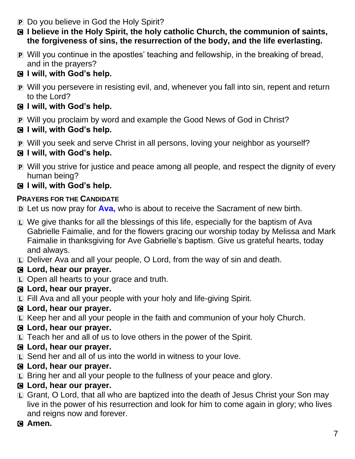- P Do you believe in God the Holy Spirit?
- C **I believe in the Holy Spirit, the holy catholic Church, the communion of saints, the forgiveness of sins, the resurrection of the body, and the life everlasting.**
- P Will you continue in the apostles' teaching and fellowship, in the breaking of bread, and in the prayers?
- C **I will, with God's help.**
- P Will you persevere in resisting evil, and, whenever you fall into sin, repent and return to the Lord?
- C **I will, with God's help.**
- P Will you proclaim by word and example the Good News of God in Christ?
- C **I will, with God's help.**
- P Will you seek and serve Christ in all persons, loving your neighbor as yourself?
- C **I will, with God's help.**
- P Will you strive for justice and peace among all people, and respect the dignity of every human being?
- C **I will, with God's help.**

# **PRAYERS FOR THE CANDIDATE**

- D Let us now pray for **Ava,** who is about to receive the Sacrament of new birth.
- L We give thanks for all the blessings of this life, especially for the baptism of Ava Gabrielle Faimalie, and for the flowers gracing our worship today by Melissa and Mark Faimalie in thanksgiving for Ave Gabrielle's baptism. Give us grateful hearts, today and always.
- L Deliver Ava and all your people, O Lord, from the way of sin and death.
- C **Lord, hear our prayer.**
- L Open all hearts to your grace and truth.
- C **Lord, hear our prayer.**
- L Fill Ava and all your people with your holy and life-giving Spirit.
- C **Lord, hear our prayer.**
- L Keep her and all your people in the faith and communion of your holy Church.
- C **Lord, hear our prayer.**
- **L** Teach her and all of us to love others in the power of the Spirit.
- C **Lord, hear our prayer.**
- L Send her and all of us into the world in witness to your love.
- C **Lord, hear our prayer.**
- L Bring her and all your people to the fullness of your peace and glory.
- C **Lord, hear our prayer.**
- L Grant, O Lord, that all who are baptized into the death of Jesus Christ your Son may live in the power of his resurrection and look for him to come again in glory; who lives and reigns now and forever.
- C **Amen.**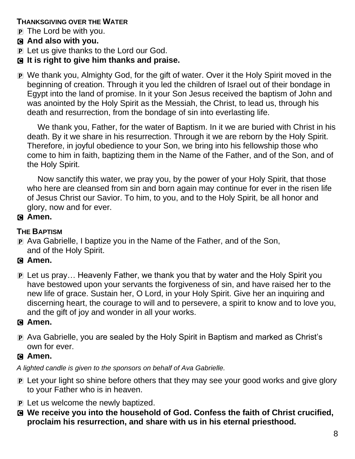## **THANKSGIVING OVER THE WATER**

- $\overline{p}$  The Lord be with you.
- C **And also with you.**
- P Let us give thanks to the Lord our God.
- C **It is right to give him thanks and praise.**
- P We thank you, Almighty God, for the gift of water. Over it the Holy Spirit moved in the beginning of creation. Through it you led the children of Israel out of their bondage in Egypt into the land of promise. In it your Son Jesus received the baptism of John and was anointed by the Holy Spirit as the Messiah, the Christ, to lead us, through his death and resurrection, from the bondage of sin into everlasting life.

We thank you, Father, for the water of Baptism. In it we are buried with Christ in his death. By it we share in his resurrection. Through it we are reborn by the Holy Spirit. Therefore, in joyful obedience to your Son, we bring into his fellowship those who come to him in faith, baptizing them in the Name of the Father, and of the Son, and of the Holy Spirit.

Now sanctify this water, we pray you, by the power of your Holy Spirit, that those who here are cleansed from sin and born again may continue for ever in the risen life of Jesus Christ our Savior. To him, to you, and to the Holy Spirit, be all honor and glory, now and for ever.

# C **Amen.**

# **THE BAPTISM**

P Ava Gabrielle, I baptize you in the Name of the Father, and of the Son, and of the Holy Spirit.

# C **Amen.**

P Let us pray… Heavenly Father, we thank you that by water and the Holy Spirit you have bestowed upon your servants the forgiveness of sin, and have raised her to the new life of grace. Sustain her, O Lord, in your Holy Spirit. Give her an inquiring and discerning heart, the courage to will and to persevere, a spirit to know and to love you, and the gift of joy and wonder in all your works.

# C **Amen.**

P Ava Gabrielle, you are sealed by the Holy Spirit in Baptism and marked as Christ's own for ever.

# C **Amen.**

*A lighted candle is given to the sponsors on behalf of Ava Gabrielle.*

- P Let your light so shine before others that they may see your good works and give glory to your Father who is in heaven.
- $\mathbf{P}$  Let us welcome the newly baptized.
- C **We receive you into the household of God. Confess the faith of Christ crucified, proclaim his resurrection, and share with us in his eternal priesthood.**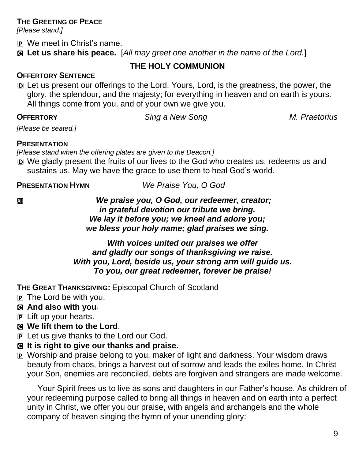#### **THE GREETING OF PEACE**

*[Please stand.]*

P We meet in Christ's name.

C **Let us share his peace.** [*All may greet one another in the name of the Lord.*]

# **THE HOLY COMMUNION**

# **OFFERTORY SENTENCE**

D Let us present our offerings to the Lord. Yours, Lord, is the greatness, the power, the glory, the splendour, and the majesty; for everything in heaven and on earth is yours. All things come from you, and of your own we give you.

**OFFERTORY** *Sing a New Song M. Praetorius*

*[Please be seated.]*

### **PRESENTATION**

*[Please stand when the offering plates are given to the Deacon.]*

D We gladly present the fruits of our lives to the God who creates us, redeems us and sustains us. May we have the grace to use them to heal God's world.

**PRESENTATION HYMN** *We Praise You, O God*

*A We praise you, O God, our redeemer, creator; in grateful devotion our tribute we bring. We lay it before you; we kneel and adore you; we bless your holy name; glad praises we sing.*

### *With voices united our praises we offer and gladly our songs of thanksgiving we raise. With you, Lord, beside us, your strong arm will guide us. To you, our great redeemer, forever be praise!*

**THE GREAT THANKSGIVING:** Episcopal Church of Scotland

P The Lord be with you.

# C **And also with you**.

- P Lift up your hearts.
- C **We lift them to the Lord**.
- P Let us give thanks to the Lord our God.
- C **It is right to give our thanks and praise.**
- P Worship and praise belong to you, maker of light and darkness. Your wisdom draws beauty from chaos, brings a harvest out of sorrow and leads the exiles home. In Christ your Son, enemies are reconciled, debts are forgiven and strangers are made welcome.

Your Spirit frees us to live as sons and daughters in our Father's house. As children of your redeeming purpose called to bring all things in heaven and on earth into a perfect unity in Christ, we offer you our praise, with angels and archangels and the whole company of heaven singing the hymn of your unending glory: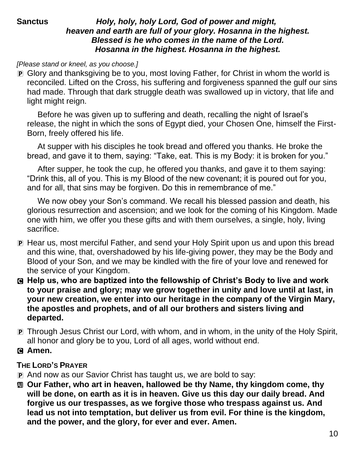#### **Sanctus** *Holy, holy, holy Lord, God of power and might, heaven and earth are full of your glory. Hosanna in the highest. Blessed is he who comes in the name of the Lord. Hosanna in the highest. Hosanna in the highest.*

*[Please stand or kneel, as you choose.]*

P Glory and thanksgiving be to you, most loving Father, for Christ in whom the world is reconciled. Lifted on the Cross, his suffering and forgiveness spanned the gulf our sins had made. Through that dark struggle death was swallowed up in victory, that life and light might reign.

Before he was given up to suffering and death, recalling the night of Israel's release, the night in which the sons of Egypt died, your Chosen One, himself the First-Born, freely offered his life.

At supper with his disciples he took bread and offered you thanks. He broke the bread, and gave it to them, saying: "Take, eat. This is my Body: it is broken for you."

After supper, he took the cup, he offered you thanks, and gave it to them saying: "Drink this, all of you. This is my Blood of the new covenant; it is poured out for you, and for all, that sins may be forgiven. Do this in remembrance of me."

We now obey your Son's command. We recall his blessed passion and death, his glorious resurrection and ascension; and we look for the coming of his Kingdom. Made one with him, we offer you these gifts and with them ourselves, a single, holy, living sacrifice.

- P Hear us, most merciful Father, and send your Holy Spirit upon us and upon this bread and this wine, that, overshadowed by his life-giving power, they may be the Body and Blood of your Son, and we may be kindled with the fire of your love and renewed for the service of your Kingdom.
- C **Help us, who are baptized into the fellowship of Christ's Body to live and work to your praise and glory; may we grow together in unity and love until at last, in your new creation, we enter into our heritage in the company of the Virgin Mary, the apostles and prophets, and of all our brothers and sisters living and departed.**
- P Through Jesus Christ our Lord, with whom, and in whom, in the unity of the Holy Spirit, all honor and glory be to you, Lord of all ages, world without end.
- C **Amen.**

## **THE LORD'S PRAYER**

- P And now as our Savior Christ has taught us, we are bold to say:
- $\text{M}$  **Our Father, who art in heaven, hallowed be thy Name, thy kingdom come, thy will be done, on earth as it is in heaven. Give us this day our daily bread. And forgive us our trespasses, as we forgive those who trespass against us. And lead us not into temptation, but deliver us from evil. For thine is the kingdom, and the power, and the glory, for ever and ever. Amen.**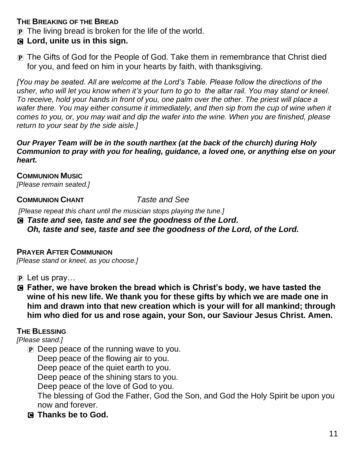### **THE BREAKING OF THE BREAD**

- P The living bread is broken for the life of the world.
- C **Lord, unite us in this sign.**
- P The Gifts of God for the People of God. Take them in remembrance that Christ died for you, and feed on him in your hearts by faith, with thanksgiving.

*[You may be seated. All are welcome at the Lord's Table. Please follow the directions of the usher, who will let you know when it's your turn to go to the altar rail. You may stand or kneel. To receive, hold your hands in front of you, one palm over the other. The priest will place a wafer there. You may either consume it immediately, and then sip from the cup of wine when it comes to you, or, you may wait and dip the wafer into the wine. When you are finished, please return to your seat by the side aisle.]*

#### *Our Prayer Team will be in the south narthex (at the back of the church) during Holy Communion to pray with you for healing, guidance, a loved one, or anything else on your heart.*

**COMMUNION MUSIC**

*[Please remain seated.]*

#### **COMMUNION CHANT** *Taste and See*

*[Please repeat this chant until the musician stops playing the tune.]*

C *Taste and see, taste and see the goodness of the Lord. Oh, taste and see, taste and see the goodness of the Lord, of the Lord.* 

#### **PRAYER AFTER COMMUNION**

*[Please stand or kneel, as you choose.]*

- $\overline{P}$  Let us pray...
- C **Father, we have broken the bread which is Christ's body, we have tasted the wine of his new life. We thank you for these gifts by which we are made one in him and drawn into that new creation which is your will for all mankind; through him who died for us and rose again, your Son, our Saviour Jesus Christ. Amen.**

#### **THE BLESSING**

*[Please stand.]*

P Deep peace of the running wave to you.

Deep peace of the flowing air to you.

Deep peace of the quiet earth to you.

Deep peace of the shining stars to you.

Deep peace of the love of God to you.

The blessing of God the Father, God the Son, and God the Holy Spirit be upon you now and forever.

## C **Thanks be to God.**